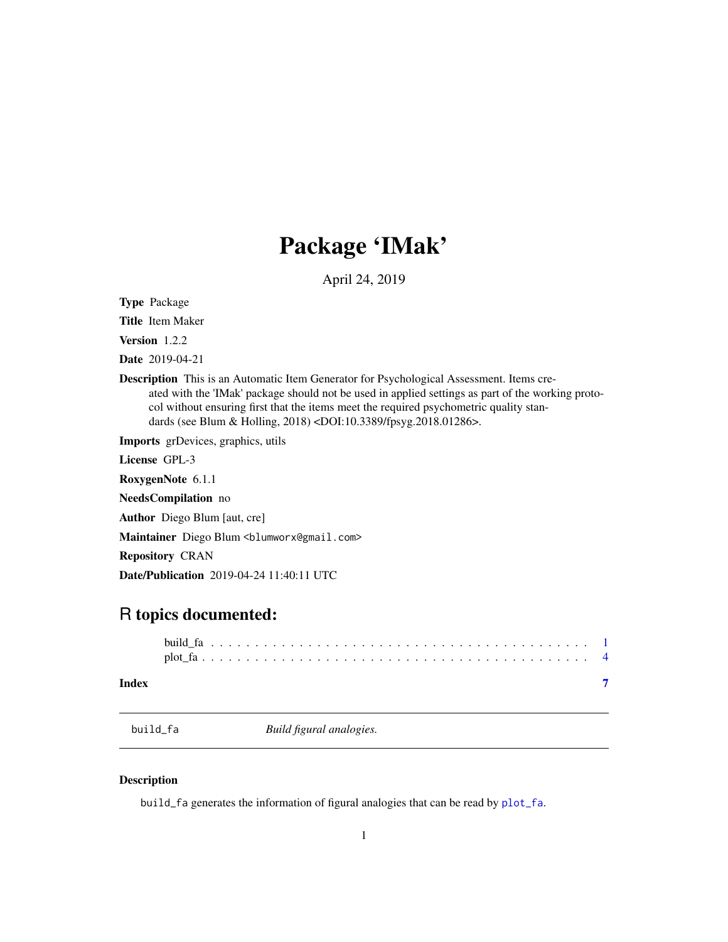## Package 'IMak'

April 24, 2019

<span id="page-0-0"></span>Type Package

Title Item Maker

Version 1.2.2

Date 2019-04-21

Description This is an Automatic Item Generator for Psychological Assessment. Items created with the 'IMak' package should not be used in applied settings as part of the working protocol without ensuring first that the items meet the required psychometric quality standards (see Blum & Holling, 2018) <DOI:10.3389/fpsyg.2018.01286>.

Imports grDevices, graphics, utils

License GPL-3

RoxygenNote 6.1.1

NeedsCompilation no

Author Diego Blum [aut, cre]

Maintainer Diego Blum <br/>blumworx@gmail.com>

Repository CRAN

Date/Publication 2019-04-24 11:40:11 UTC

### R topics documented:

| Index |  |  |  |  |  |  |  |  |  |  |  |  |  |  |  |  |  |  |  |  |  |
|-------|--|--|--|--|--|--|--|--|--|--|--|--|--|--|--|--|--|--|--|--|--|

<span id="page-0-1"></span>build\_fa *Build figural analogies.*

#### Description

build\_fa generates the information of figural analogies that can be read by [plot\\_fa](#page-3-1).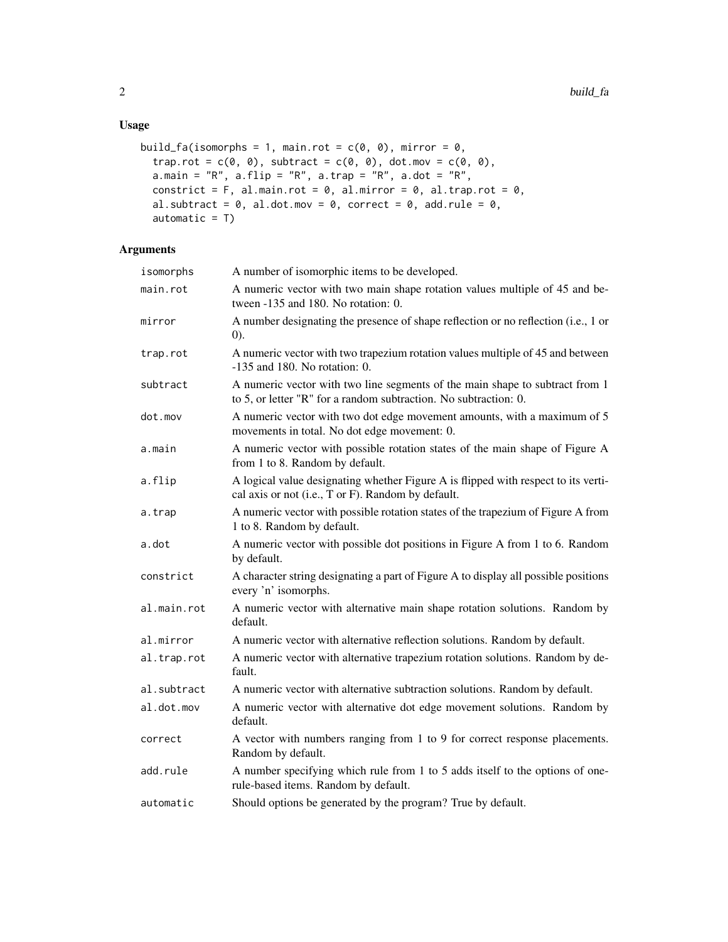```
build_fa(isomorphs = 1, main.rot = c(\emptyset, \emptyset), mirror = \emptyset,
  trap.rot = c(\emptyset, \emptyset), subtract = c(\emptyset, \emptyset), dot.mov = c(\emptyset, \emptyset),
  a.main = "R", a.flip = "R", a.trap = "R", a.dot = "R",
  constrict = F, al.main.rot = 0, al.mirror = 0, al.trap.rot = 0,
  al.subtract = 0, al.dot.mov = 0, correct = 0, add.rule = 0,
  automatic = T)
```
#### Arguments

| isomorphs   | A number of isomorphic items to be developed.                                                                                                    |
|-------------|--------------------------------------------------------------------------------------------------------------------------------------------------|
| main.rot    | A numeric vector with two main shape rotation values multiple of 45 and be-<br>tween -135 and 180. No rotation: 0.                               |
| mirror      | A number designating the presence of shape reflection or no reflection (i.e., 1 or<br>(0).                                                       |
| trap.rot    | A numeric vector with two trapezium rotation values multiple of 45 and between<br>$-135$ and 180. No rotation: 0.                                |
| subtract    | A numeric vector with two line segments of the main shape to subtract from 1<br>to 5, or letter "R" for a random subtraction. No subtraction: 0. |
| dot.mov     | A numeric vector with two dot edge movement amounts, with a maximum of 5<br>movements in total. No dot edge movement: 0.                         |
| a.main      | A numeric vector with possible rotation states of the main shape of Figure A<br>from 1 to 8. Random by default.                                  |
| a.flip      | A logical value designating whether Figure A is flipped with respect to its verti-<br>cal axis or not (i.e., T or F). Random by default.         |
| a.trap      | A numeric vector with possible rotation states of the trapezium of Figure A from<br>1 to 8. Random by default.                                   |
| a.dot       | A numeric vector with possible dot positions in Figure A from 1 to 6. Random<br>by default.                                                      |
| constrict   | A character string designating a part of Figure A to display all possible positions<br>every 'n' isomorphs.                                      |
| al.main.rot | A numeric vector with alternative main shape rotation solutions. Random by<br>default.                                                           |
| al.mirror   | A numeric vector with alternative reflection solutions. Random by default.                                                                       |
| al.trap.rot | A numeric vector with alternative trapezium rotation solutions. Random by de-<br>fault.                                                          |
| al.subtract | A numeric vector with alternative subtraction solutions. Random by default.                                                                      |
| al.dot.mov  | A numeric vector with alternative dot edge movement solutions. Random by<br>default.                                                             |
| correct     | A vector with numbers ranging from 1 to 9 for correct response placements.<br>Random by default.                                                 |
| add.rule    | A number specifying which rule from 1 to 5 adds itself to the options of one-<br>rule-based items. Random by default.                            |
| automatic   | Should options be generated by the program? True by default.                                                                                     |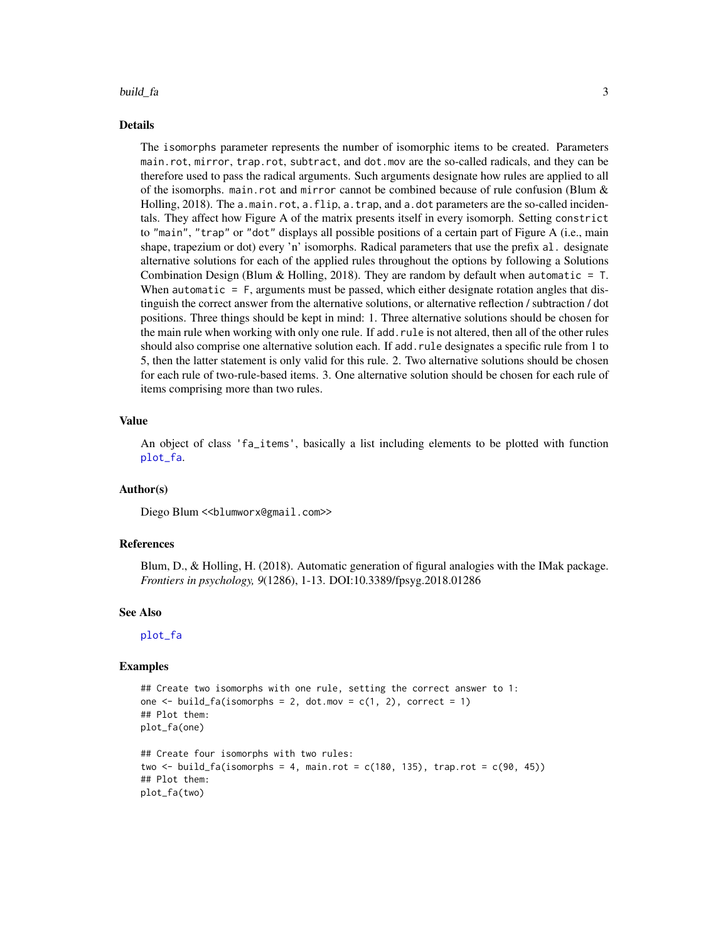#### <span id="page-2-0"></span>build\_fa 3

#### Details

The isomorphs parameter represents the number of isomorphic items to be created. Parameters main.rot, mirror, trap.rot, subtract, and dot.mov are the so-called radicals, and they can be therefore used to pass the radical arguments. Such arguments designate how rules are applied to all of the isomorphs. main.rot and mirror cannot be combined because of rule confusion (Blum & Holling, 2018). The a.main.rot, a.flip, a.trap, and a.dot parameters are the so-called incidentals. They affect how Figure A of the matrix presents itself in every isomorph. Setting constrict to "main", "trap" or "dot" displays all possible positions of a certain part of Figure A (i.e., main shape, trapezium or dot) every 'n' isomorphs. Radical parameters that use the prefix al. designate alternative solutions for each of the applied rules throughout the options by following a Solutions Combination Design (Blum & Holling, 2018). They are random by default when automatic =  $T$ . When automatic = F, arguments must be passed, which either designate rotation angles that distinguish the correct answer from the alternative solutions, or alternative reflection / subtraction / dot positions. Three things should be kept in mind: 1. Three alternative solutions should be chosen for the main rule when working with only one rule. If add.rule is not altered, then all of the other rules should also comprise one alternative solution each. If add.rule designates a specific rule from 1 to 5, then the latter statement is only valid for this rule. 2. Two alternative solutions should be chosen for each rule of two-rule-based items. 3. One alternative solution should be chosen for each rule of items comprising more than two rules.

#### Value

An object of class 'fa\_items', basically a list including elements to be plotted with function [plot\\_fa](#page-3-1).

#### Author(s)

Diego Blum << blumworx@gmail.com>>

#### References

Blum, D., & Holling, H. (2018). Automatic generation of figural analogies with the IMak package. *Frontiers in psychology, 9*(1286), 1-13. DOI:10.3389/fpsyg.2018.01286

#### See Also

[plot\\_fa](#page-3-1)

#### Examples

```
## Create two isomorphs with one rule, setting the correct answer to 1:
one \le build_fa(isomorphs = 2, dot.mov = c(1, 2), correct = 1)
## Plot them:
plot_fa(one)
## Create four isomorphs with two rules:
two \le build_fa(isomorphs = 4, main.rot = c(180, 135), trap.rot = c(90, 45))
## Plot them:
plot_fa(two)
```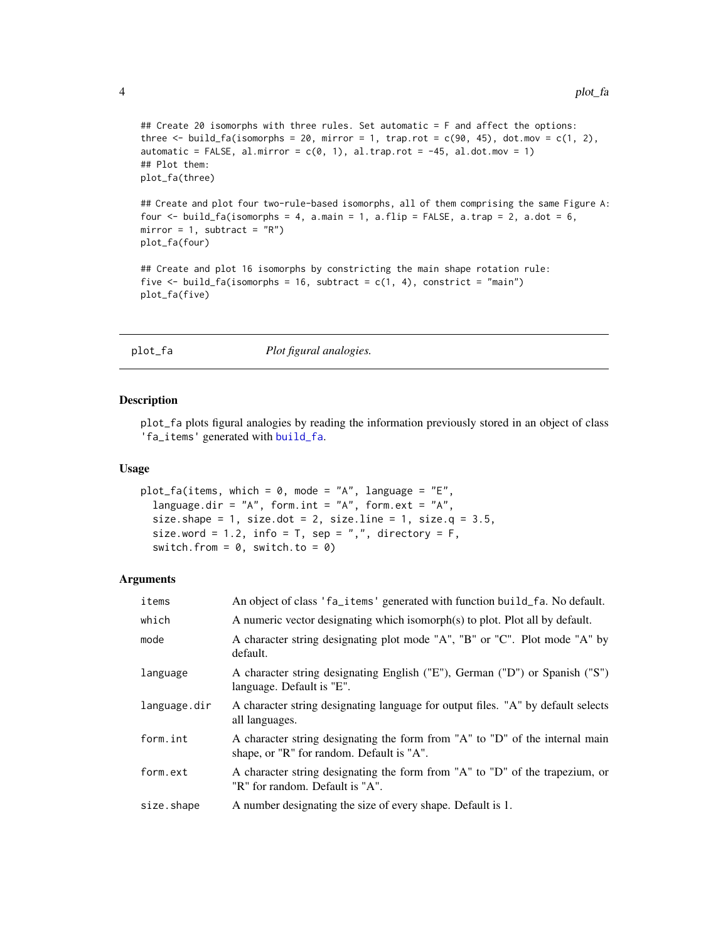```
## Create 20 isomorphs with three rules. Set automatic = F and affect the options:
three \le build_fa(isomorphs = 20, mirror = 1, trap.rot = c(90, 45), dot.mov = c(1, 2),
automatic = FALSE, al.mirror = c(0, 1), al.trap.rot = -45, al.dot.mov = 1)
## Plot them:
plot_fa(three)
## Create and plot four two-rule-based isomorphs, all of them comprising the same Figure A:
```

```
four \le build_fa(isomorphs = 4, a.main = 1, a.flip = FALSE, a.trap = 2, a.dot = 6,
mirror = 1, subtract = "R")
plot_fa(four)
```

```
## Create and plot 16 isomorphs by constricting the main shape rotation rule:
five \le build_fa(isomorphs = 16, subtract = c(1, 4), constrict = "main")
plot_fa(five)
```

```
plot_fa Plot figural analogies.
```
#### Description

plot\_fa plots figural analogies by reading the information previously stored in an object of class 'fa\_items' generated with [build\\_fa](#page-0-1).

#### Usage

```
plot_fa(items, which = 0, mode = "A", language = "E",
  language.dir = "A", form.int = "A", form.ext = "A",
  size.shape = 1, size.dot = 2, size.line = 1, size.q = 3.5,
  size.word = 1.2, info = T, sep = ",", directory = F,
  switch.from = 0, switch.to = 0)
```
#### Arguments

| items        | An object of class 'fa_items' generated with function build_fa. No default.                                               |
|--------------|---------------------------------------------------------------------------------------------------------------------------|
| which        | A numeric vector designating which isomorph(s) to plot. Plot all by default.                                              |
| mode         | A character string designating plot mode "A", "B" or "C". Plot mode "A" by<br>default.                                    |
| language     | A character string designating English ("E"), German ("D") or Spanish ("S")<br>language. Default is "E".                  |
| language.dir | A character string designating language for output files. "A" by default selects<br>all languages.                        |
| form.int     | A character string designating the form from "A" to "D" of the internal main<br>shape, or "R" for random. Default is "A". |
| form.ext     | A character string designating the form from "A" to "D" of the trapezium, or<br>"R" for random. Default is "A".           |
| size.shape   | A number designating the size of every shape. Default is 1.                                                               |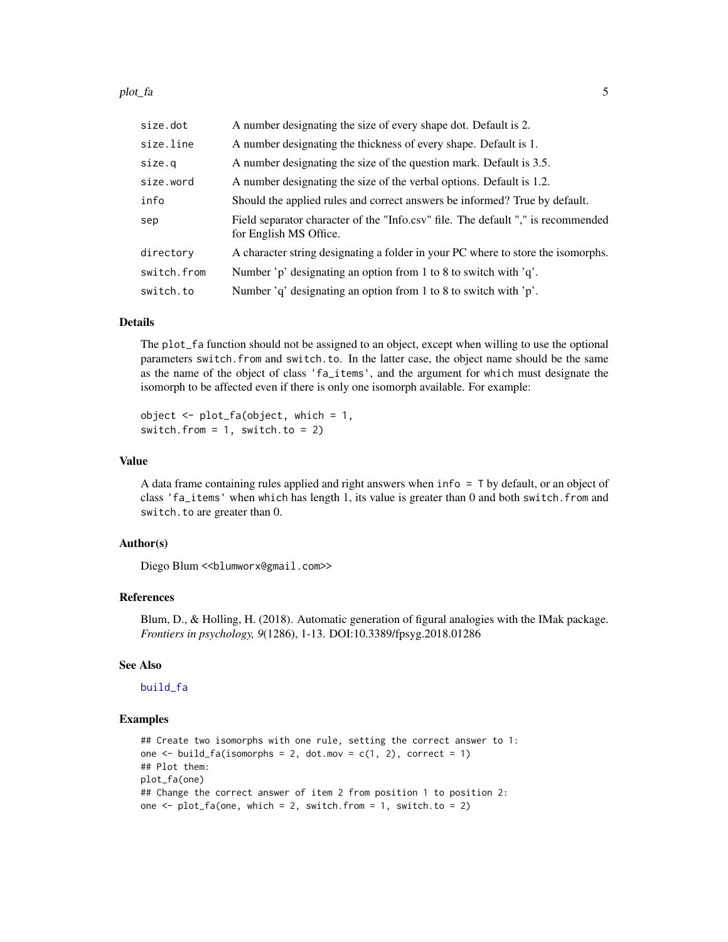#### <span id="page-4-0"></span>plot\_fa 5

| size.dot    | A number designating the size of every shape dot. Default is 2.                                            |
|-------------|------------------------------------------------------------------------------------------------------------|
| size.line   | A number designating the thickness of every shape. Default is 1.                                           |
| size.q      | A number designating the size of the question mark. Default is 3.5.                                        |
| size.word   | A number designating the size of the verbal options. Default is 1.2.                                       |
| info        | Should the applied rules and correct answers be informed? True by default.                                 |
| sep         | Field separator character of the "Info.csv" file. The default "," is recommended<br>for English MS Office. |
| directory   | A character string designating a folder in your PC where to store the isomorphs.                           |
| switch.from | Number 'p' designating an option from 1 to 8 to switch with $q$ .                                          |
| switch.to   | Number 'q' designating an option from 1 to 8 to switch with 'p'.                                           |

#### Details

The plot\_fa function should not be assigned to an object, except when willing to use the optional parameters switch.from and switch.to. In the latter case, the object name should be the same as the name of the object of class 'fa\_items', and the argument for which must designate the isomorph to be affected even if there is only one isomorph available. For example:

object  $\leq$  plot\_fa(object, which = 1, switch.from =  $1$ , switch.to =  $2$ )

#### Value

A data frame containing rules applied and right answers when info = T by default, or an object of class 'fa\_items' when which has length 1, its value is greater than 0 and both switch.from and switch.to are greater than 0.

#### Author(s)

Diego Blum << blumworx@gmail.com>>

#### References

Blum, D., & Holling, H. (2018). Automatic generation of figural analogies with the IMak package. *Frontiers in psychology, 9*(1286), 1-13. DOI:10.3389/fpsyg.2018.01286

#### See Also

#### [build\\_fa](#page-0-1)

#### Examples

```
## Create two isomorphs with one rule, setting the correct answer to 1:
one \le build_fa(isomorphs = 2, dot.mov = c(1, 2), correct = 1)
## Plot them:
plot_fa(one)
## Change the correct answer of item 2 from position 1 to position 2:
one \le plot_fa(one, which = 2, switch.from = 1, switch.to = 2)
```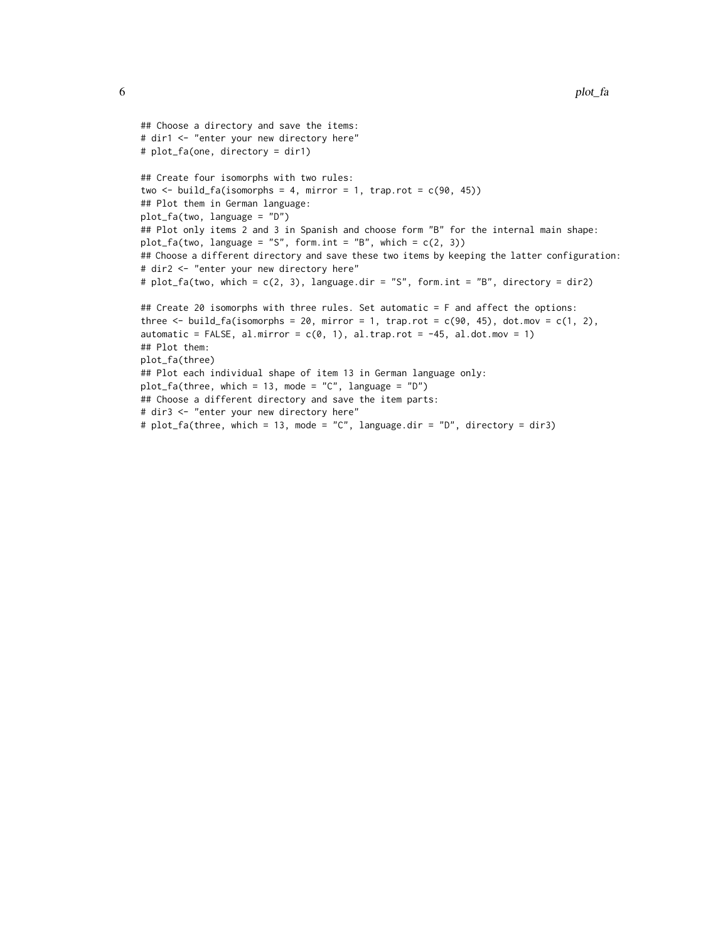```
## Choose a directory and save the items:
# dir1 <- "enter your new directory here"
# plot_fa(one, directory = dir1)
## Create four isomorphs with two rules:
two \le build_fa(isomorphs = 4, mirror = 1, trap.rot = c(90, 45))
## Plot them in German language:
plot_fa(two, language = "D")
## Plot only items 2 and 3 in Spanish and choose form "B" for the internal main shape:
plot_fa(two, language = "S", form.int = "B", which = c(2, 3))
## Choose a different directory and save these two items by keeping the latter configuration:
# dir2 <- "enter your new directory here"
# plot_fa(two, which = c(2, 3), language-dir = "S", form.int = "B", directory = dir2)## Create 20 isomorphs with three rules. Set automatic = F and affect the options:
three \le build_fa(isomorphs = 20, mirror = 1, trap.rot = c(90, 45), dot.mov = c(1, 2),
automatic = FALSE, al.mirror = c(0, 1), al.trap.rot = -45, al.dot.mov = 1)
## Plot them:
plot_fa(three)
## Plot each individual shape of item 13 in German language only:
plot_fa(three, which = 13, mode = "C", language = "D")
## Choose a different directory and save the item parts:
# dir3 <- "enter your new directory here"
# plot_fa(three, which = 13, mode = "C", language.dir = "D", directory = dir3)
```